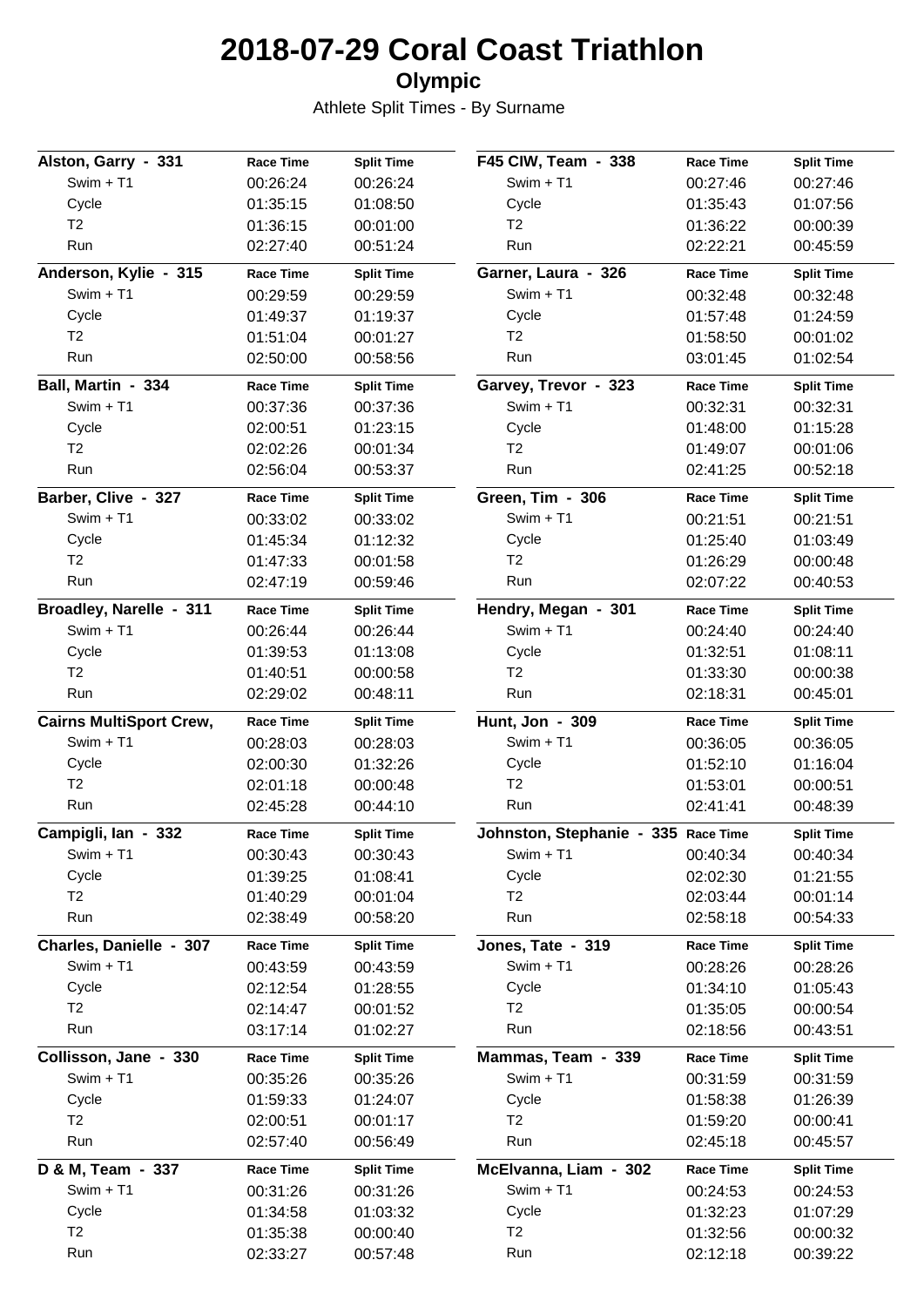# **2018-07-29 Coral Coast Triathlon**

### **Olympic**

Athlete Split Times - By Surname

| Alston, Garry - 331            | <b>Race Time</b> | <b>Split Time</b> | F45 CIW, Team - 338                                      | <b>Race Time</b> | <b>Split Time</b> |
|--------------------------------|------------------|-------------------|----------------------------------------------------------|------------------|-------------------|
| $Swim + T1$                    | 00:26:24         | 00:26:24          | $Swim + T1$                                              | 00:27:46         | 00:27:46          |
| Cycle                          | 01:35:15         | 01:08:50          | Cycle                                                    | 01:35:43         | 01:07:56          |
| T <sub>2</sub>                 | 01:36:15         | 00:01:00          | T <sub>2</sub>                                           | 01:36:22         | 00:00:39          |
| Run                            | 02:27:40         | 00:51:24          | Run                                                      | 02:22:21         | 00:45:59          |
| Anderson, Kylie - 315          | <b>Race Time</b> | <b>Split Time</b> | Garner, Laura - 326                                      | <b>Race Time</b> | <b>Split Time</b> |
| Swim + T1                      | 00:29:59         | 00:29:59          | $Swim + T1$                                              | 00:32:48         | 00:32:48          |
| Cycle                          | 01:49:37         | 01:19:37          | Cycle                                                    | 01:57:48         | 01:24:59          |
| T <sub>2</sub>                 | 01:51:04         | 00:01:27          | T <sub>2</sub>                                           | 01:58:50         | 00:01:02          |
| Run                            | 02:50:00         | 00:58:56          | Run                                                      | 03:01:45         | 01:02:54          |
| Ball, Martin - 334             | <b>Race Time</b> | <b>Split Time</b> | Garvey, Trevor - 323                                     | <b>Race Time</b> | <b>Split Time</b> |
| Swim + T1                      | 00:37:36         | 00:37:36          | $Swim + T1$                                              | 00:32:31         | 00:32:31          |
| Cycle                          | 02:00:51         | 01:23:15          | Cycle                                                    | 01:48:00         | 01:15:28          |
| T2                             | 02:02:26         | 00:01:34          | T <sub>2</sub>                                           | 01:49:07         | 00:01:06          |
| Run                            | 02:56:04         | 00:53:37          | Run                                                      | 02:41:25         | 00:52:18          |
| Barber, Clive - 327            | <b>Race Time</b> | <b>Split Time</b> | Green, Tim - 306                                         | <b>Race Time</b> | <b>Split Time</b> |
| $Swim + T1$                    | 00:33:02         | 00:33:02          | $Swim + T1$                                              | 00:21:51         | 00:21:51          |
| Cycle                          | 01:45:34         | 01:12:32          | Cycle                                                    | 01:25:40         | 01:03:49          |
| T <sub>2</sub>                 | 01:47:33         | 00:01:58          | T <sub>2</sub>                                           | 01:26:29         | 00:00:48          |
| Run                            | 02:47:19         | 00:59:46          | Run                                                      | 02:07:22         | 00:40:53          |
| Broadley, Narelle - 311        | <b>Race Time</b> | <b>Split Time</b> | Hendry, Megan - 301                                      | <b>Race Time</b> | <b>Split Time</b> |
| $Swim + T1$                    | 00:26:44         | 00:26:44          | $Swim + T1$                                              | 00:24:40         | 00:24:40          |
| Cycle                          | 01:39:53         | 01:13:08          | Cycle                                                    | 01:32:51         | 01:08:11          |
| T <sub>2</sub>                 | 01:40:51         | 00:00:58          | T <sub>2</sub>                                           | 01:33:30         | 00:00:38          |
| Run                            | 02:29:02         | 00:48:11          | Run                                                      | 02:18:31         | 00:45:01          |
| <b>Cairns MultiSport Crew,</b> | <b>Race Time</b> | <b>Split Time</b> | Hunt, Jon - 309                                          | <b>Race Time</b> | <b>Split Time</b> |
| $Swim + T1$                    | 00:28:03         | 00:28:03          | $Swim + T1$                                              | 00:36:05         | 00:36:05          |
| Cycle                          | 02:00:30         | 01:32:26          | Cycle                                                    | 01:52:10         | 01:16:04          |
| T <sub>2</sub>                 | 02:01:18         | 00:00:48          | T <sub>2</sub>                                           | 01:53:01         | 00:00:51          |
| Run                            | 02:45:28         | 00:44:10          | Run                                                      | 02:41:41         | 00:48:39          |
| Campigli, lan - 332            | <b>Race Time</b> | <b>Split Time</b> | Johnston, Stephanie - 335 Race Time<br><b>Split Time</b> |                  |                   |
| $Swim + T1$                    | 00:30:43         | 00:30:43          | $Swim + T1$                                              | 00:40:34         | 00:40:34          |
| Cycle                          | 01:39:25         | 01:08:41          | Cycle                                                    | 02:02:30         | 01:21:55          |
| T <sub>2</sub>                 | 01:40:29         | 00:01:04          | T <sub>2</sub>                                           | 02:03:44         | 00:01:14          |
| Run                            | 02:38:49         | 00:58:20          | Run                                                      | 02:58:18         | 00:54:33          |
| Charles, Danielle - 307        | <b>Race Time</b> | <b>Split Time</b> | Jones, Tate - 319                                        | <b>Race Time</b> | <b>Split Time</b> |
| $Swim + T1$                    | 00:43:59         | 00:43:59          | $Swim + T1$                                              | 00:28:26         | 00:28:26          |
| Cycle                          | 02:12:54         | 01:28:55          | Cycle                                                    | 01:34:10         | 01:05:43          |
| T <sub>2</sub>                 | 02:14:47         | 00:01:52          | T <sub>2</sub>                                           | 01:35:05         | 00:00:54          |
| Run                            | 03:17:14         | 01:02:27          | Run                                                      | 02:18:56         | 00:43:51          |
| Collisson, Jane - 330          | <b>Race Time</b> | <b>Split Time</b> | Mammas, Team - 339                                       | <b>Race Time</b> | <b>Split Time</b> |
| Swim + T1                      | 00:35:26         | 00:35:26          | $Swim + T1$                                              | 00:31:59         | 00:31:59          |
| Cycle                          | 01:59:33         | 01:24:07          | Cycle                                                    | 01:58:38         | 01:26:39          |
| T <sub>2</sub>                 | 02:00:51         | 00:01:17          | T <sub>2</sub>                                           | 01:59:20         | 00:00:41          |
| Run                            | 02:57:40         | 00:56:49          | Run                                                      | 02:45:18         | 00:45:57          |
| D & M, Team - 337              | <b>Race Time</b> | <b>Split Time</b> | McElvanna, Liam - 302                                    | <b>Race Time</b> | <b>Split Time</b> |
| Swim + T1                      | 00:31:26         | 00:31:26          | $Swim + T1$                                              | 00:24:53         | 00:24:53          |
| Cycle                          | 01:34:58         | 01:03:32          | Cycle                                                    | 01:32:23         | 01:07:29          |
| T <sub>2</sub>                 | 01:35:38         | 00:00:40          | T <sub>2</sub>                                           | 01:32:56         | 00:00:32          |
| Run                            | 02:33:27         | 00:57:48          | Run                                                      | 02:12:18         | 00:39:22          |
|                                |                  |                   |                                                          |                  |                   |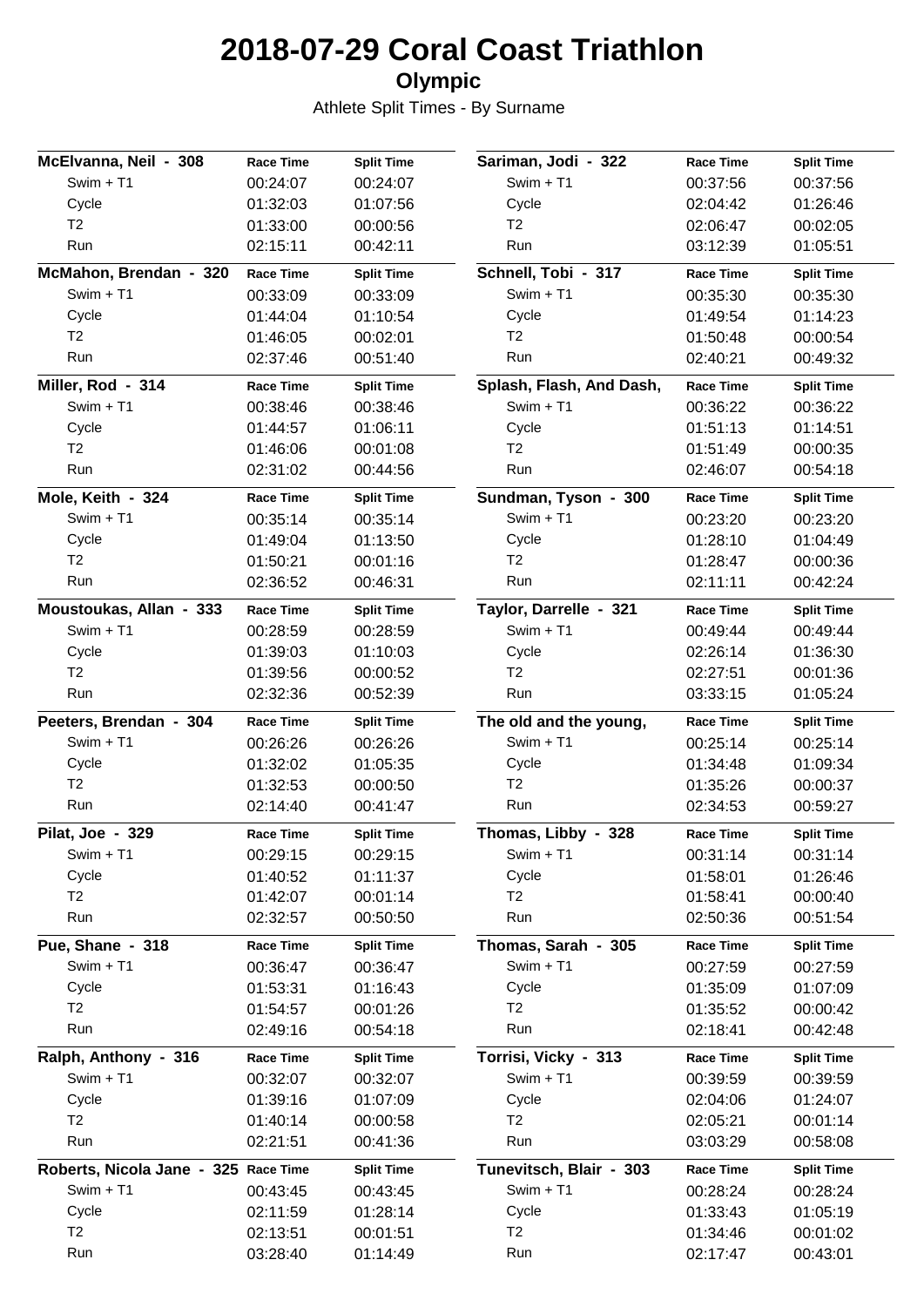# **2018-07-29 Coral Coast Triathlon**

### **Olympic**

Athlete Split Times - By Surname

| McElvanna, Neil - 308                                                          | <b>Race Time</b> | <b>Split Time</b> | Sariman, Jodi - 322      | <b>Race Time</b> | <b>Split Time</b> |
|--------------------------------------------------------------------------------|------------------|-------------------|--------------------------|------------------|-------------------|
| $Swim + T1$                                                                    | 00:24:07         | 00:24:07          | $Swim + T1$              | 00:37:56         | 00:37:56          |
| Cycle                                                                          | 01:32:03         | 01:07:56          | Cycle                    | 02:04:42         | 01:26:46          |
| T <sub>2</sub>                                                                 | 01:33:00         | 00:00:56          | T <sub>2</sub>           | 02:06:47         | 00:02:05          |
| Run                                                                            | 02:15:11         | 00:42:11          | Run                      | 03:12:39         | 01:05:51          |
| McMahon, Brendan - 320                                                         | <b>Race Time</b> | <b>Split Time</b> | Schnell, Tobi - 317      | <b>Race Time</b> | <b>Split Time</b> |
| Swim + T1                                                                      | 00:33:09         | 00:33:09          | $Swim + T1$              | 00:35:30         | 00:35:30          |
| Cycle                                                                          | 01:44:04         | 01:10:54          | Cycle                    | 01:49:54         | 01:14:23          |
| T <sub>2</sub>                                                                 | 01:46:05         | 00:02:01          | T <sub>2</sub>           | 01:50:48         | 00:00:54          |
| Run                                                                            | 02:37:46         | 00:51:40          | Run                      | 02:40:21         | 00:49:32          |
| Miller, Rod - 314                                                              | <b>Race Time</b> | <b>Split Time</b> | Splash, Flash, And Dash, | <b>Race Time</b> | <b>Split Time</b> |
| Swim + T1                                                                      | 00:38:46         | 00:38:46          | $Swim + T1$              | 00:36:22         | 00:36:22          |
| Cycle                                                                          | 01:44:57         | 01:06:11          | Cycle                    | 01:51:13         | 01:14:51          |
| T <sub>2</sub>                                                                 | 01:46:06         | 00:01:08          | T <sub>2</sub>           | 01:51:49         | 00:00:35          |
| Run                                                                            | 02:31:02         | 00:44:56          | Run                      | 02:46:07         | 00:54:18          |
| Mole, Keith - 324                                                              | <b>Race Time</b> | <b>Split Time</b> | Sundman, Tyson - 300     | <b>Race Time</b> | <b>Split Time</b> |
| Swim + T1                                                                      | 00:35:14         | 00:35:14          | $Swim + T1$              | 00:23:20         | 00:23:20          |
| Cycle                                                                          | 01:49:04         | 01:13:50          | Cycle                    | 01:28:10         | 01:04:49          |
| T <sub>2</sub>                                                                 | 01:50:21         | 00:01:16          | T <sub>2</sub>           | 01:28:47         | 00:00:36          |
| Run                                                                            | 02:36:52         | 00:46:31          | Run                      | 02:11:11         | 00:42:24          |
| Moustoukas, Allan - 333                                                        | <b>Race Time</b> | <b>Split Time</b> | Taylor, Darrelle - 321   | <b>Race Time</b> | <b>Split Time</b> |
| Swim + T1                                                                      | 00:28:59         | 00:28:59          | $Swim + T1$              | 00:49:44         | 00:49:44          |
| Cycle                                                                          | 01:39:03         | 01:10:03          | Cycle                    | 02:26:14         | 01:36:30          |
| T <sub>2</sub>                                                                 | 01:39:56         | 00:00:52          | T <sub>2</sub>           | 02:27:51         | 00:01:36          |
| Run                                                                            | 02:32:36         | 00:52:39          | Run                      | 03:33:15         | 01:05:24          |
| Peeters, Brendan - 304                                                         | <b>Race Time</b> | <b>Split Time</b> | The old and the young,   | <b>Race Time</b> | <b>Split Time</b> |
| Swim + T1                                                                      | 00:26:26         | 00:26:26          | $Swim + T1$              | 00:25:14         | 00:25:14          |
| Cycle                                                                          | 01:32:02         | 01:05:35          | Cycle                    | 01:34:48         | 01:09:34          |
| T <sub>2</sub>                                                                 | 01:32:53         | 00:00:50          | T <sub>2</sub>           | 01:35:26         | 00:00:37          |
| Run                                                                            | 02:14:40         | 00:41:47          | Run                      | 02:34:53         | 00:59:27          |
| Pilat, Joe - 329                                                               | <b>Race Time</b> | <b>Split Time</b> | Thomas, Libby - 328      | <b>Race Time</b> | <b>Split Time</b> |
| Swim + T1                                                                      | 00:29:15         | 00:29:15          | $Swim + T1$              | 00:31:14         | 00:31:14          |
| Cycle                                                                          | 01:40:52         | 01:11:37          | Cycle                    | 01:58:01         | 01:26:46          |
| T <sub>2</sub>                                                                 | 01:42:07         | 00:01:14          | T <sub>2</sub>           | 01:58:41         | 00:00:40          |
| Run                                                                            | 02:32:57         | 00:50:50          | Run                      | 02:50:36         | 00:51:54          |
| Pue, Shane - 318                                                               | <b>Race Time</b> | <b>Split Time</b> | Thomas, Sarah - 305      | <b>Race Time</b> | <b>Split Time</b> |
| $Swim + T1$                                                                    | 00:36:47         | 00:36:47          | Swim + T1                | 00:27:59         | 00:27:59          |
| Cycle                                                                          | 01:53:31         | 01:16:43          | Cycle                    | 01:35:09         | 01:07:09          |
| T <sub>2</sub>                                                                 | 01:54:57         | 00:01:26          | T <sub>2</sub>           | 01:35:52         | 00:00:42          |
| Run                                                                            | 02:49:16         | 00:54:18          | Run                      | 02:18:41         | 00:42:48          |
|                                                                                |                  |                   |                          |                  |                   |
|                                                                                | <b>Race Time</b> | <b>Split Time</b> | Torrisi, Vicky - 313     | <b>Race Time</b> | <b>Split Time</b> |
| Swim + T1                                                                      | 00:32:07         | 00:32:07          | Swim + T1                | 00:39:59         | 00:39:59          |
| Cycle                                                                          | 01:39:16         | 01:07:09          | Cycle                    | 02:04:06         | 01:24:07          |
| T <sub>2</sub>                                                                 | 01:40:14         | 00:00:58          | T <sub>2</sub>           | 02:05:21         | 00:01:14          |
| Run                                                                            | 02:21:51         | 00:41:36          | Run                      | 03:03:29         | 00:58:08          |
|                                                                                |                  | <b>Split Time</b> | Tunevitsch, Blair - 303  | <b>Race Time</b> | <b>Split Time</b> |
| $Swim + T1$                                                                    | 00:43:45         | 00:43:45          | Swim + T1                | 00:28:24         | 00:28:24          |
| Cycle                                                                          | 02:11:59         | 01:28:14          | Cycle                    | 01:33:43         | 01:05:19          |
| Ralph, Anthony - 316<br>Roberts, Nicola Jane - 325 Race Time<br>T <sub>2</sub> | 02:13:51         | 00:01:51          | T <sub>2</sub>           | 01:34:46         | 00:01:02          |